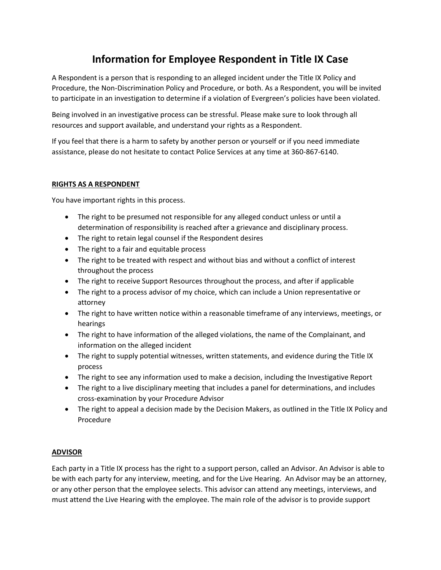# **Information for Employee Respondent in Title IX Case**

A Respondent is a person that is responding to an alleged incident under the Title IX Policy and Procedure, the Non-Discrimination Policy and Procedure, or both. As a Respondent, you will be invited to participate in an investigation to determine if a violation of Evergreen's policies have been violated.

Being involved in an investigative process can be stressful. Please make sure to look through all resources and support available, and understand your rights as a Respondent.

If you feel that there is a harm to safety by another person or yourself or if you need immediate assistance, please do not hesitate to contact Police Services at any time at 360-867-6140.

#### **RIGHTS AS A RESPONDENT**

You have important rights in this process.

- The right to be presumed not responsible for any alleged conduct unless or until a determination of responsibility is reached after a grievance and disciplinary process.
- The right to retain legal counsel if the Respondent desires
- The right to a fair and equitable process
- The right to be treated with respect and without bias and without a conflict of interest throughout the process
- The right to receive Support Resources throughout the process, and after if applicable
- The right to a process advisor of my choice, which can include a Union representative or attorney
- The right to have written notice within a reasonable timeframe of any interviews, meetings, or hearings
- The right to have information of the alleged violations, the name of the Complainant, and information on the alleged incident
- The right to supply potential witnesses, written statements, and evidence during the Title IX process
- The right to see any information used to make a decision, including the Investigative Report
- The right to a live disciplinary meeting that includes a panel for determinations, and includes cross-examination by your Procedure Advisor
- The right to appeal a decision made by the Decision Makers, as outlined in the Title IX Policy and Procedure

## **ADVISOR**

Each party in a Title IX process has the right to a support person, called an Advisor. An Advisor is able to be with each party for any interview, meeting, and for the Live Hearing. An Advisor may be an attorney, or any other person that the employee selects. This advisor can attend any meetings, interviews, and must attend the Live Hearing with the employee. The main role of the advisor is to provide support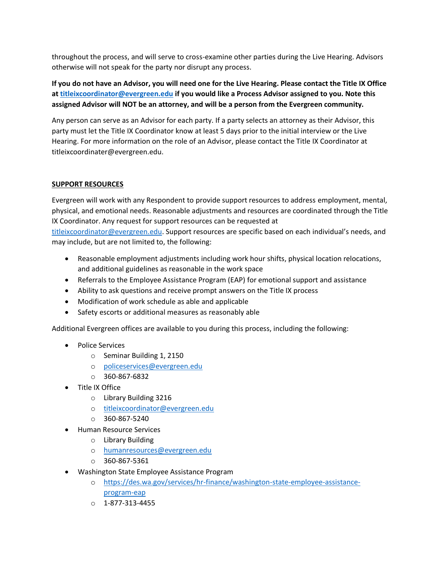throughout the process, and will serve to cross-examine other parties during the Live Hearing. Advisors otherwise will not speak for the party nor disrupt any process.

**If you do not have an Advisor, you will need one for the Live Hearing. Please contact the Title IX Office a[t titleixcoordinator@evergreen.edu](mailto:titleixcoordinator@evergreen.edu) if you would like a Process Advisor assigned to you. Note this assigned Advisor will NOT be an attorney, and will be a person from the Evergreen community.**

Any person can serve as an Advisor for each party. If a party selects an attorney as their Advisor, this party must let the Title IX Coordinator know at least 5 days prior to the initial interview or the Live Hearing. For more information on the role of an Advisor, please contact the Title IX Coordinator at titleixcoordinater@evergreen.edu.

#### **SUPPORT RESOURCES**

Evergreen will work with any Respondent to provide support resources to address employment, mental, physical, and emotional needs. Reasonable adjustments and resources are coordinated through the Title IX Coordinator. Any request for support resources can be requested at

[titleixcoordinator@evergreen.edu](mailto:titleixcoordinator@evergreen.edu). Support resources are specific based on each individual's needs, and may include, but are not limited to, the following:

- Reasonable employment adjustments including work hour shifts, physical location relocations, and additional guidelines as reasonable in the work space
- Referrals to the Employee Assistance Program (EAP) for emotional support and assistance
- Ability to ask questions and receive prompt answers on the Title IX process
- Modification of work schedule as able and applicable
- Safety escorts or additional measures as reasonably able

Additional Evergreen offices are available to you during this process, including the following:

- Police Services
	- o Seminar Building 1, 2150
	- o [policeservices@evergreen.edu](mailto:policeservices@evergreen.edu)
	- $O$  360-867-6832
- Title IX Office
	- o Library Building 3216
	- o [titleixcoordinator@evergreen.edu](mailto:titleixcoordinator@evergreen.edu)
	- $O = 360 867 5240$
- Human Resource Services
	- o Library Building
	- o [humanresources@evergreen.edu](mailto:advising@evergreen.edu)
	- o 360-867-5361
- Washington State Employee Assistance Program
	- o [https://des.wa.gov/services/hr-finance/washington-state-employee-assistance](https://des.wa.gov/services/hr-finance/washington-state-employee-assistance-program-eap)[program-eap](https://des.wa.gov/services/hr-finance/washington-state-employee-assistance-program-eap)
	- o 1-877-313-4455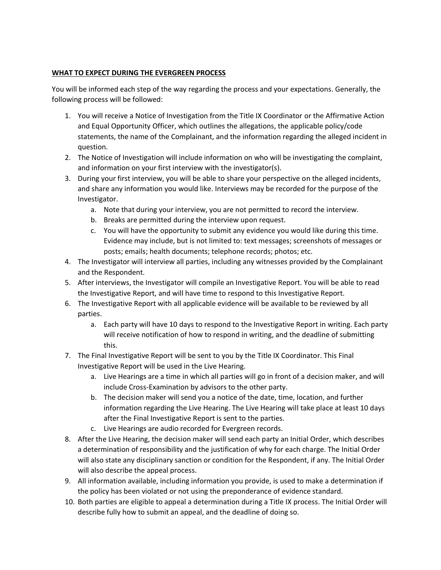## **WHAT TO EXPECT DURING THE EVERGREEN PROCESS**

You will be informed each step of the way regarding the process and your expectations. Generally, the following process will be followed:

- 1. You will receive a Notice of Investigation from the Title IX Coordinator or the Affirmative Action and Equal Opportunity Officer, which outlines the allegations, the applicable policy/code statements, the name of the Complainant, and the information regarding the alleged incident in question.
- 2. The Notice of Investigation will include information on who will be investigating the complaint, and information on your first interview with the investigator(s).
- 3. During your first interview, you will be able to share your perspective on the alleged incidents, and share any information you would like. Interviews may be recorded for the purpose of the Investigator.
	- a. Note that during your interview, you are not permitted to record the interview.
	- b. Breaks are permitted during the interview upon request.
	- c. You will have the opportunity to submit any evidence you would like during this time. Evidence may include, but is not limited to: text messages; screenshots of messages or posts; emails; health documents; telephone records; photos; etc.
- 4. The Investigator will interview all parties, including any witnesses provided by the Complainant and the Respondent.
- 5. After interviews, the Investigator will compile an Investigative Report. You will be able to read the Investigative Report, and will have time to respond to this Investigative Report.
- 6. The Investigative Report with all applicable evidence will be available to be reviewed by all parties.
	- a. Each party will have 10 days to respond to the Investigative Report in writing. Each party will receive notification of how to respond in writing, and the deadline of submitting this.
- 7. The Final Investigative Report will be sent to you by the Title IX Coordinator. This Final Investigative Report will be used in the Live Hearing.
	- a. Live Hearings are a time in which all parties will go in front of a decision maker, and will include Cross-Examination by advisors to the other party.
	- b. The decision maker will send you a notice of the date, time, location, and further information regarding the Live Hearing. The Live Hearing will take place at least 10 days after the Final Investigative Report is sent to the parties.
	- c. Live Hearings are audio recorded for Evergreen records.
- 8. After the Live Hearing, the decision maker will send each party an Initial Order, which describes a determination of responsibility and the justification of why for each charge. The Initial Order will also state any disciplinary sanction or condition for the Respondent, if any. The Initial Order will also describe the appeal process.
- 9. All information available, including information you provide, is used to make a determination if the policy has been violated or not using the preponderance of evidence standard.
- 10. Both parties are eligible to appeal a determination during a Title IX process. The Initial Order will describe fully how to submit an appeal, and the deadline of doing so.